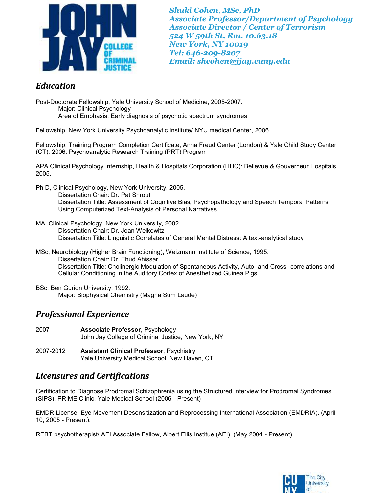

*Shuki Cohen, MSc, PhD Associate Professor/Department of Psychology Associate Director / Center of Terrorism 524 W 59th St, Rm. 10.63.18 New York, NY 10019 Tel: 646-209-8207 Email: shcohen@jjay.cuny.edu*

## *Education*

Post-Doctorate Fellowship, Yale University School of Medicine, 2005-2007. Major: Clinical Psychology Area of Emphasis: Early diagnosis of psychotic spectrum syndromes

Fellowship, New York University Psychoanalytic Institute/ NYU medical Center, 2006.

Fellowship, Training Program Completion Certificate, Anna Freud Center (London) & Yale Child Study Center (CT), 2006. Psychoanalytic Research Training (PRT) Program

APA Clinical Psychology Internship, Health & Hospitals Corporation (HHC): Bellevue & Gouverneur Hospitals, 2005.

Ph D, Clinical Psychology, New York University, 2005.

Dissertation Chair: Dr. Pat Shrout Dissertation Title: Assessment of Cognitive Bias, Psychopathology and Speech Temporal Patterns Using Computerized Text-Analysis of Personal Narratives

- MA, Clinical Psychology, New York University, 2002. Dissertation Chair: Dr. Joan Welkowitz Dissertation Title: Linguistic Correlates of General Mental Distress: A text-analytical study
- MSc, Neurobiology (Higher Brain Functioning), Weizmann Institute of Science, 1995. Dissertation Chair: Dr. Ehud Ahissar Dissertation Title: Cholinergic Modulation of Spontaneous Activity, Auto- and Cross- correlations and Cellular Conditioning in the Auditory Cortex of Anesthetized Guinea Pigs
- BSc, Ben Gurion University, 1992. Major: Biophysical Chemistry (Magna Sum Laude)

# *Professional Experience*

- 2007- **Associate Professor**, Psychology John Jay College of Criminal Justice, New York, NY
- 2007-2012 **Assistant Clinical Professor**, Psychiatry Yale University Medical School, New Haven, CT

# *Licensures and Certifications*

Certification to Diagnose Prodromal Schizophrenia using the Structured Interview for Prodromal Syndromes (SIPS), PRIME Clinic, Yale Medical School (2006 - Present)

EMDR License, Eye Movement Desensitization and Reprocessing International Association (EMDRIA). (April 10, 2005 - Present).

REBT psychotherapist/ AEI Associate Fellow, Albert Ellis Institue (AEI). (May 2004 - Present).

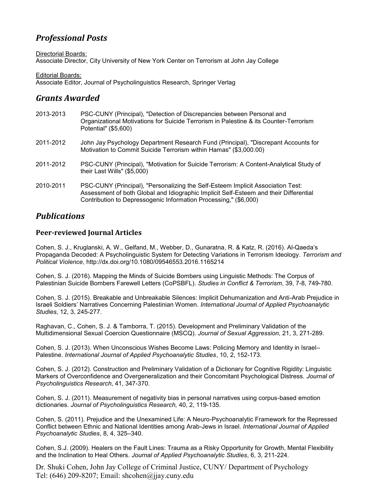# *Professional Posts*

Directorial Boards: Associate Director, City University of New York Center on Terrorism at John Jay College

Editorial Boards: Associate Editor, Journal of Psycholinguistics Research, Springer Verlag

# *Grants Awarded*

| 2013-2013 | PSC-CUNY (Principal), "Detection of Discrepancies between Personal and<br>Organizational Motivations for Suicide Terrorism in Palestine & its Counter-Terrorism<br>Potential" (\$5,600)                                                      |
|-----------|----------------------------------------------------------------------------------------------------------------------------------------------------------------------------------------------------------------------------------------------|
| 2011-2012 | John Jay Psychology Department Research Fund (Principal), "Discrepant Accounts for<br>Motivation to Commit Suicide Terrorism within Hamas" (\$3,000.00)                                                                                      |
| 2011-2012 | PSC-CUNY (Principal), "Motivation for Suicide Terrorism: A Content-Analytical Study of<br>their Last Wills" (\$5,000)                                                                                                                        |
| 2010-2011 | PSC-CUNY (Principal), "Personalizing the Self-Esteem Implicit Association Test:<br>Assessment of both Global and Idiographic Implicit Self-Esteem and their Differential<br>Contribution to Depressogenic Information Processing," (\$6,000) |

## *Publications*

### **Peer-reviewed Journal Articles**

Cohen, S. J., Kruglanski, A. W., Gelfand, M., Webber, D., Gunaratna, R. & Katz, R. (2016). Al-Qaeda's Propaganda Decoded: A Psycholinguistic System for Detecting Variations in Terrorism Ideology. *Terrorism and Political Violence*, http://dx.doi.org/10.1080/09546553.2016.1165214

Cohen, S. J. (2016). Mapping the Minds of Suicide Bombers using Linguistic Methods: The Corpus of Palestinian Suicide Bombers Farewell Letters (CoPSBFL). *Studies in Conflict & Terrorism*, 39, 7-8, 749-780.

Cohen, S. J. (2015). Breakable and Unbreakable Silences: Implicit Dehumanization and Anti-Arab Prejudice in Israeli Soldiers' Narratives Concerning Palestinian Women. *International Journal of Applied Psychoanalytic Studies*, 12, 3, 245-277.

Raghavan, C., Cohen, S. J. & Tamborra, T. (2015). Development and Preliminary Validation of the Multidimensional Sexual Coercion Questionnaire (MSCQ). *Journal of Sexual Aggression*, 21, 3, 271-289.

Cohen, S. J. (2013). When Unconscious Wishes Become Laws: Policing Memory and Identity in Israel– Palestine. *International Journal of Applied Psychoanalytic Studies*, 10, 2, 152-173.

Cohen, S. J. (2012). Construction and Preliminary Validation of a Dictionary for Cognitive Rigidity: Linguistic Markers of Overconfidence and Overgeneralization and their Concomitant Psychological Distress. *Journal of Psycholinguistics Research*, 41, 347-370.

Cohen, S. J. (2011). Measurement of negativity bias in personal narratives using corpus-based emotion dictionaries. *Journal of Psycholinguistics Research,* 40, 2, 119-135.

Cohen, S. (2011). Prejudice and the Unexamined Life: A Neuro-Psychoanalytic Framework for the Repressed Conflict between Ethnic and National Identities among Arab-Jews in Israel. *International Journal of Applied Psychoanalytic Studies*, 8, 4, 325–340.

Cohen, S.J. (2009). Healers on the Fault Lines: Trauma as a Risky Opportunity for Growth, Mental Flexibility and the Inclination to Heal Others. *Journal of Applied Psychoanalytic Studies*, 6, 3, 211-224.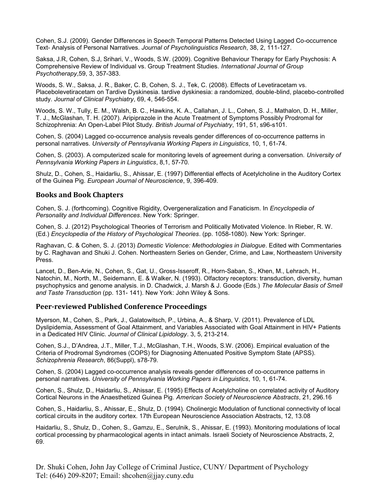Cohen, S.J. (2009). Gender Differences in Speech Temporal Patterns Detected Using Lagged Co-occurrence Text- Analysis of Personal Narratives. *Journal of Psycholinguistics Research*, 38, 2, 111-127.

Saksa, J.R, Cohen, S.J, Srihari, V., Woods, S.W. (2009). Cognitive Behaviour Therapy for Early Psychosis: A Comprehensive Review of Individual vs. Group Treatment Studies. *International Journal of Group Psychotherapy*,59, 3, 357-383.

Woods, S. W., Saksa, J. R., Baker, C. B, Cohen, S. J., Tek, C. (2008). Effects of Levetiracetam vs. Placebolevetiracetam on Tardive Dyskinesia. tardive dyskinesia: a randomized, double-blind, placebo-controlled study. *Journal of Clinical Psychiatry*, 69, 4, 546-554.

Woods, S. W., Tully, E. M., Walsh, B. C., Hawkins, K. A., Callahan, J. L., Cohen, S. J., Mathalon, D. H., Miller, T. J., McGlashan, T. H. (2007). Aripiprazole in the Acute Treatment of Symptoms Possibly Prodromal for Schizophrenia: An Open-Label Pilot Study. *British Journal of Psychiatry*, 191, 51, s96-s101.

Cohen, S. (2004) Lagged co-occurrence analysis reveals gender differences of co-occurrence patterns in personal narratives. *University of Pennsylvania Working Papers in Linguistics*, 10, 1, 61-74.

Cohen, S. (2003). A computerized scale for monitoring levels of agreement during a conversation. *University of Pennsylvania Working Papers in Linguistics*, 8,1, 57-70.

Shulz, D., Cohen, S., Haidarliu, S., Ahissar, E. (1997) Differential effects of Acetylcholine in the Auditory Cortex of the Guinea Pig. *European Journal of Neuroscience*, 9, 396-409.

#### **Books and Book Chapters**

Cohen, S. J. (forthcoming). Cognitive Rigidity, Overgeneralization and Fanaticism. In *Encyclopedia of Personality and Individual Differences*. New York: Springer.

Cohen, S. J. (2012) Psychological Theories of Terrorism and Politically Motivated Violence. In Rieber, R. W. (Ed.) *Encyclopedia of the History of Psychological Theories*. (pp. 1058-1080). New York: Springer.

Raghavan, C. & Cohen, S. J. (2013) *Domestic Violence: Methodologies in Dialogue*. Edited with Commentaries by C. Raghavan and Shuki J. Cohen. Northeastern Series on Gender, Crime, and Law, Northeastern University Press.

Lancet, D., Ben-Arie, N., Cohen, S., Gat, U., Gross-Isseroff, R., Horn-Saban, S., Khen, M., Lehrach, H., Natochin, M., North, M., Seidemann, E. & Walker, N. (1993). Olfactory receptors: transduction, diversity, human psychophysics and genome analysis. in D. Chadwick, J. Marsh & J. Goode (Eds.) *The Molecular Basis of Smell and Taste Transduction* (pp. 131- 141). New York: John Wiley & Sons.

#### **Peer-reviewed Published Conference Proceedings**

Myerson, M., Cohen, S., Park, J., Galatowitsch, P., Urbina, A., & Sharp, V. (2011). Prevalence of LDL Dyslipidemia, Assessment of Goal Attainment, and Variables Associated with Goal Attainment in HIV+ Patients in a Dedicated HIV Clinic. *Journal of Clinical Lipidology*. 3, 5, 213-214.

Cohen, S.J., D'Andrea, J.T., Miller, T.J., McGlashan, T.H., Woods, S.W. (2006). Empirical evaluation of the Criteria of Prodromal Syndromes (COPS) for Diagnosing Attenuated Positive Symptom State (APSS). *Schizophrenia Research*, 86(Suppl), s78-79.

Cohen, S. (2004) Lagged co-occurrence analysis reveals gender differences of co-occurrence patterns in personal narratives. *University of Pennsylvania Working Papers in Linguistics*, 10, 1, 61-74.

Cohen, S., Shulz, D., Haidarliu, S., Ahissar, E. (1995) Effects of Acetylcholine on correlated activity of Auditory Cortical Neurons in the Anaesthetized Guinea Pig. *American Society of Neuroscience Abstracts*, 21, 296.16

Cohen, S., Haidarliu, S., Ahissar, E., Shulz, D. (1994). Cholinergic Modulation of functional connectivity of local cortical circuits in the auditory cortex. 17th European Neuroscience Association Abstracts, 12, 13.08

Haidarliu, S., Shulz, D., Cohen, S., Gamzu, E., Serulnik, S., Ahissar, E. (1993). Monitoring modulations of local cortical processing by pharmacological agents in intact animals. Israeli Society of Neuroscience Abstracts, 2, 69.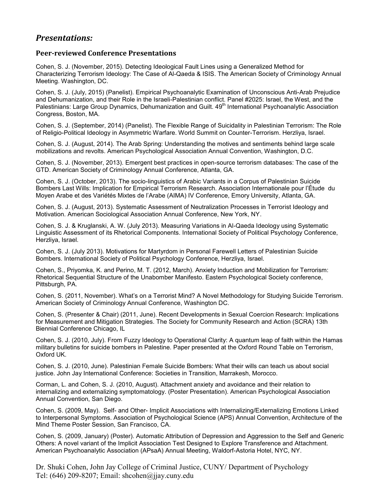## *Presentations:*

### **Peer-reviewed Conference Presentations**

Cohen, S. J. (November, 2015). Detecting Ideological Fault Lines using a Generalized Method for Characterizing Terrorism Ideology: The Case of Al-Qaeda & ISIS. The American Society of Criminology Annual Meeting. Washington, DC.

Cohen, S. J. (July, 2015) (Panelist). Empirical Psychoanalytic Examination of Unconscious Anti-Arab Prejudice and Dehumanization, and their Role in the Israeli-Palestinian conflict. Panel #2025: Israel, the West, and the Palestinians: Large Group Dynamics, Dehumanization and Guilt. 49<sup>th</sup> International Psychoanalytic Association Congress, Boston, MA.

Cohen, S. J. (September, 2014) (Panelist). The Flexible Range of Suicidality in Palestinian Terrorism: The Role of Religio-Political Ideology in Asymmetric Warfare. World Summit on Counter-Terrorism. Herzliya, Israel.

Cohen, S. J. (August, 2014). The Arab Spring: Understanding the motives and sentiments behind large scale mobilizations and revolts. American Psychological Association Annual Convention, Washington, D.C.

Cohen, S. J. (November, 2013). Emergent best practices in open-source terrorism databases: The case of the GTD. American Society of Criminology Annual Conference, Atlanta, GA.

Cohen, S. J. (October, 2013). The socio-linguistics of Arabic Variants in a Corpus of Palestinian Suicide Bombers Last Wills: Implication for Empirical Terrorism Research. Association Internationale pour l'Étude du Moyen Arabe et des Variétés Mixtes de l'Arabe (AIMA) IV Conference, Emory University, Atlanta, GA.

Cohen, S. J. (August, 2013). Systematic Assessment of Neutralization Processes in Terrorist Ideology and Motivation. American Sociological Association Annual Conference, New York, NY.

Cohen, S. J. & Kruglanski, A. W. (July 2013). Measuring Variations in Al-Qaeda Ideology using Systematic Linguistic Assessment of its Rhetorical Components. International Society of Political Psychology Conference, Herzliya, Israel.

Cohen, S. J. (July 2013). Motivations for Martyrdom in Personal Farewell Letters of Palestinian Suicide Bombers. International Society of Political Psychology Conference, Herzliya, Israel.

Cohen, S., Priyomka, K. and Perino, M. T. (2012, March). Anxiety Induction and Mobilization for Terrorism: Rhetorical Sequential Structure of the Unabomber Manifesto. Eastern Psychological Society conference, Pittsburgh, PA.

Cohen, S. (2011, November). What's on a Terrorist Mind? A Novel Methodology for Studying Suicide Terrorism. American Society of Criminology Annual Conference, Washington DC.

Cohen, S. (Presenter & Chair) (2011, June). Recent Developments in Sexual Coercion Research: Implications for Measurement and Mitigation Strategies. The Society for Community Research and Action (SCRA) 13th Biennial Conference Chicago, IL

Cohen, S. J. (2010, July). From Fuzzy Ideology to Operational Clarity: A quantum leap of faith within the Hamas military bulletins for suicide bombers in Palestine. Paper presented at the Oxford Round Table on Terrorism, Oxford UK.

Cohen, S. J. (2010, June). Palestinian Female Suicide Bombers: What their wills can teach us about social justice. John Jay International Conference: Societies in Transition, Marrakesh, Morocco.

Corman, L. and Cohen, S. J. (2010, August). Attachment anxiety and avoidance and their relation to internalizing and externalizing symptomatology. (Poster Presentation). American Psychological Association Annual Convention, San Diego.

Cohen, S. (2009, May). Self- and Other- Implicit Associations with Internalizing/Externalizing Emotions Linked to Interpersonal Symptoms. Association of Psychological Science (APS) Annual Convention, Architecture of the Mind Theme Poster Session, San Francisco, CA.

Cohen, S. (2009, January) (Poster). Automatic Attribution of Depression and Aggression to the Self and Generic Others: A novel variant of the Implicit Association Test Designed to Explore Transference and Attachment. American Psychoanalytic Association (APsaA) Annual Meeting, Waldorf-Astoria Hotel, NYC, NY.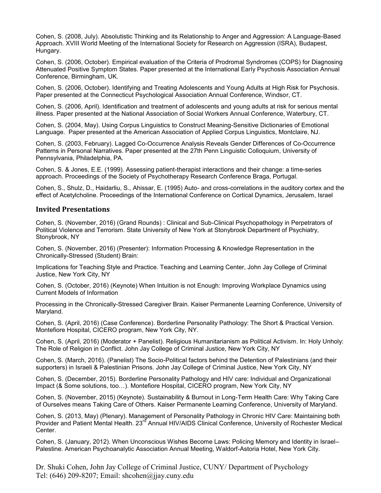Cohen, S. (2008, July). Absolutistic Thinking and its Relationship to Anger and Aggression: A Language-Based Approach. XVIII World Meeting of the International Society for Research on Aggression (ISRA), Budapest, Hungary.

Cohen, S. (2006, October). Empirical evaluation of the Criteria of Prodromal Syndromes (COPS) for Diagnosing Attenuated Positive Symptom States. Paper presented at the International Early Psychosis Association Annual Conference, Birmingham, UK.

Cohen, S. (2006, October). Identifying and Treating Adolescents and Young Adults at High Risk for Psychosis. Paper presented at the Connecticut Psychological Association Annual Conference, Windsor, CT.

Cohen, S. (2006, April). Identification and treatment of adolescents and young adults at risk for serious mental illness. Paper presented at the National Association of Social Workers Annual Conference, Waterbury, CT.

Cohen, S. (2004, May). Using Corpus Linguistics to Construct Meaning-Sensitive Dictionaries of Emotional Language. Paper presented at the American Association of Applied Corpus Linguistics, Montclaire, NJ.

Cohen, S. (2003, February). Lagged Co-Occurrence Analysis Reveals Gender Differences of Co-Occurrence Patterns in Personal Narratives. Paper presented at the 27th Penn Linguistic Colloquium, University of Pennsylvania, Philadelphia, PA.

Cohen, S. & Jones, E.E. (1999). Assessing patient-therapist interactions and their change: a time-series approach. Proceedings of the Society of Psychotherapy Research Conference Braga, Portugal.

Cohen, S., Shulz, D., Haidarliu, S., Ahissar, E. (1995) Auto- and cross-correlations in the auditory cortex and the effect of Acetylcholine. Proceedings of the International Conference on Cortical Dynamics, Jerusalem, Israel

#### **Invited Presentations**

Cohen, S. (November, 2016) (Grand Rounds) : Clinical and Sub-Clinical Psychopathology in Perpetrators of Political Violence and Terrorism. State University of New York at Stonybrook Department of Psychiatry, Stonybrook, NY

Cohen, S. (November, 2016) (Presenter): Information Processing & Knowledge Representation in the Chronically-Stressed (Student) Brain:

Implications for Teaching Style and Practice. Teaching and Learning Center, John Jay College of Criminal Justice, New York City, NY

Cohen, S. (October, 2016) (Keynote) When Intuition is not Enough: Improving Workplace Dynamics using Current Models of Information

Processing in the Chronically-Stressed Caregiver Brain. Kaiser Permanente Learning Conference, University of Maryland.

Cohen, S. (April, 2016) (Case Conference). Borderline Personality Pathology: The Short & Practical Version. Montefiore Hospital, CICERO program, New York City, NY.

Cohen, S. (April, 2016) (Moderator + Panelist). Religious Humanitarianism as Political Activism. In: Holy Unholy: The Role of Religion in Conflict. John Jay College of Criminal Justice, New York City, NY

Cohen, S. (March, 2016). (Panelist) The Socio-Political factors behind the Detention of Palestinians (and their supporters) in Israeli & Palestinian Prisons. John Jay College of Criminal Justice, New York City, NY

Cohen, S. (December, 2015). Borderline Personality Pathology and HIV care: Individual and Organizational Impact (& Some solutions, too…). Montefiore Hospital, CICERO program, New York City, NY

Cohen, S. (November, 2015) (Keynote). Sustainability & Burnout in Long-Term Health Care: Why Taking Care of Ourselves means Taking Care of Others. Kaiser Permanente Learning Conference, University of Maryland.

Cohen, S. (2013, May) (Plenary). Management of Personality Pathology in Chronic HIV Care: Maintaining both Provider and Patient Mental Health. 23<sup>rd</sup> Annual HIV/AIDS Clinical Conference, University of Rochester Medical Center.

Cohen, S. (January, 2012). When Unconscious Wishes Become Laws: Policing Memory and Identity in Israel– Palestine. American Psychoanalytic Association Annual Meeting, Waldorf-Astoria Hotel, New York City.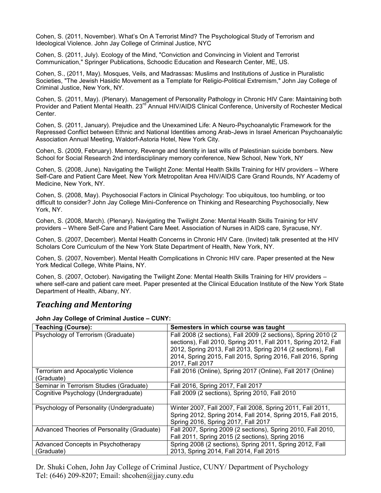Cohen, S. (2011, November). What's On A Terrorist Mind? The Psychological Study of Terrorism and Ideological Violence. John Jay College of Criminal Justice, NYC

Cohen, S. (2011, July). Ecology of the Mind, "Conviction and Convincing in Violent and Terrorist Communication," Springer Publications, Schoodic Education and Research Center, ME, US.

Cohen, S., (2011, May). Mosques, Veils, and Madrassas: Muslims and Institutions of Justice in Pluralistic Societies, "The Jewish Hasidic Movement as a Template for Religio-Political Extremism," John Jay College of Criminal Justice, New York, NY.

Cohen, S. (2011, May). (Plenary). Management of Personality Pathology in Chronic HIV Care: Maintaining both Provider and Patient Mental Health. 23<sup>rd</sup> Annual HIV/AIDS Clinical Conference, University of Rochester Medical Center.

Cohen, S. (2011, January). Prejudice and the Unexamined Life: A Neuro-Psychoanalytic Framework for the Repressed Conflict between Ethnic and National Identities among Arab-Jews in Israel American Psychoanalytic Association Annual Meeting, Waldorf-Astoria Hotel, New York City.

Cohen, S. (2009, February). Memory, Revenge and Identity in last wills of Palestinian suicide bombers. New School for Social Research 2nd interdisciplinary memory conference, New School, New York, NY

Cohen, S. (2008, June). Navigating the Twilight Zone: Mental Health Skills Training for HIV providers – Where Self-Care and Patient Care Meet. New York Metropolitan Area HIV/AIDS Care Grand Rounds, NY Academy of Medicine, New York, NY.

Cohen, S. (2008, May). Psychosocial Factors in Clinical Psychology: Too ubiquitous, too humbling, or too difficult to consider? John Jay College Mini-Conference on Thinking and Researching Psychosocially, New York, NY.

Cohen, S. (2008, March). (Plenary). Navigating the Twilight Zone: Mental Health Skills Training for HIV providers – Where Self-Care and Patient Care Meet. Association of Nurses in AIDS care, Syracuse, NY.

Cohen, S. (2007, December). Mental Health Concerns in Chronic HIV Care. (Invited) talk presented at the HIV Scholars Core Curriculum of the New York State Department of Health, New York, NY.

Cohen, S. (2007, November). Mental Health Complications in Chronic HIV care. Paper presented at the New York Medical College, White Plains, NY.

Cohen, S. (2007, October). Navigating the Twilight Zone: Mental Health Skills Training for HIV providers – where self-care and patient care meet. Paper presented at the Clinical Education Institute of the New York State Department of Health, Albany, NY.

## *Teaching and Mentoring*

**John Jay College of Criminal Justice – CUNY:**

| <b>Teaching (Course):</b>                               | Semesters in which course was taught                                                                                                                                                                                                                                                 |
|---------------------------------------------------------|--------------------------------------------------------------------------------------------------------------------------------------------------------------------------------------------------------------------------------------------------------------------------------------|
| Psychology of Terrorism (Graduate)                      | Fall 2008 (2 sections), Fall 2009 (2 sections), Spring 2010 (2<br>sections), Fall 2010, Spring 2011, Fall 2011, Spring 2012, Fall<br>2012, Spring 2013, Fall 2013, Spring 2014 (2 sections), Fall<br>2014, Spring 2015, Fall 2015, Spring 2016, Fall 2016, Spring<br>2017, Fall 2017 |
| <b>Terrorism and Apocalyptic Violence</b><br>(Graduate) | Fall 2016 (Online), Spring 2017 (Online), Fall 2017 (Online)                                                                                                                                                                                                                         |
| Seminar in Terrorism Studies (Graduate)                 | Fall 2016, Spring 2017, Fall 2017                                                                                                                                                                                                                                                    |
| Cognitive Psychology (Undergraduate)                    | Fall 2009 (2 sections), Spring 2010, Fall 2010                                                                                                                                                                                                                                       |
| Psychology of Personality (Undergraduate)               | Winter 2007, Fall 2007, Fall 2008, Spring 2011, Fall 2011,<br>Spring 2012, Spring 2014, Fall 2014, Spring 2015, Fall 2015,<br>Spring 2016, Spring 2017, Fall 2017                                                                                                                    |
| Advanced Theories of Personality (Graduate)             | Fall 2007, Spring 2009 (2 sections), Spring 2010, Fall 2010,<br>Fall 2011, Spring 2015 (2 sections), Spring 2016                                                                                                                                                                     |
| Advanced Concepts in Psychotherapy                      | Spring 2008 (2 sections), Spring 2011, Spring 2012, Fall                                                                                                                                                                                                                             |
| (Graduate)                                              | 2013, Spring 2014, Fall 2014, Fall 2015                                                                                                                                                                                                                                              |